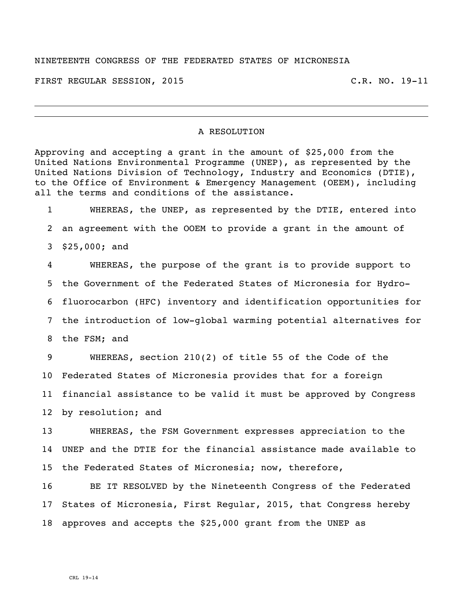## NINETEENTH CONGRESS OF THE FEDERATED STATES OF MICRONESIA

FIRST REGULAR SESSION, 2015 C.R. NO. 19-11

## A RESOLUTION

Approving and accepting a grant in the amount of \$25,000 from the United Nations Environmental Programme (UNEP), as represented by the United Nations Division of Technology, Industry and Economics (DTIE), to the Office of Environment & Emergency Management (OEEM), including all the terms and conditions of the assistance.

 WHEREAS, the UNEP, as represented by the DTIE, entered into an agreement with the OOEM to provide a grant in the amount of \$25,000; and

 WHEREAS, the purpose of the grant is to provide support to the Government of the Federated States of Micronesia for Hydro- fluorocarbon (HFC) inventory and identification opportunities for the introduction of low-global warming potential alternatives for the FSM; and

 WHEREAS, section 210(2) of title 55 of the Code of the Federated States of Micronesia provides that for a foreign financial assistance to be valid it must be approved by Congress by resolution; and

 WHEREAS, the FSM Government expresses appreciation to the UNEP and the DTIE for the financial assistance made available to the Federated States of Micronesia; now, therefore,

 BE IT RESOLVED by the Nineteenth Congress of the Federated States of Micronesia, First Regular, 2015, that Congress hereby approves and accepts the \$25,000 grant from the UNEP as